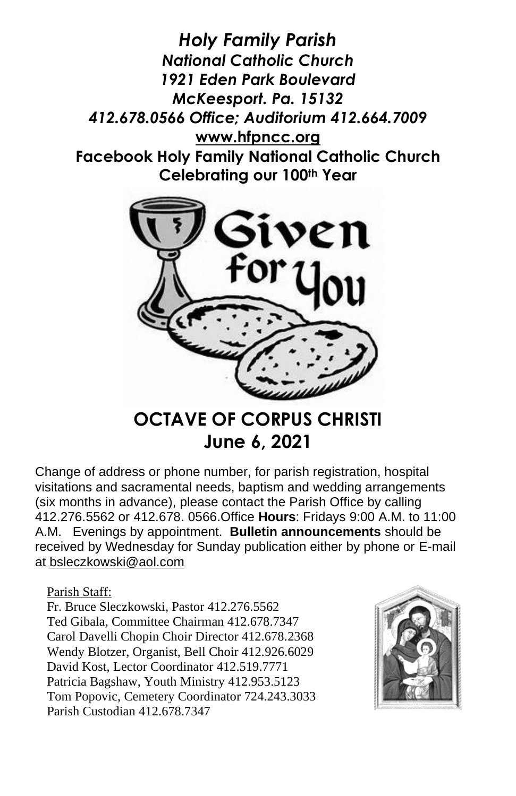*Holy Family Parish National Catholic Church 1921 Eden Park Boulevard McKeesport. Pa. 15132 412.678.0566 Office; Auditorium 412.664.7009* **[www.hfpncc.org](http://www.hfpncc.org/) Facebook Holy Family National Catholic Church Celebrating our 100th Year**



# **OCTAVE OF CORPUS CHRISTI June 6, 2021**

Change of address or phone number, for parish registration, hospital visitations and sacramental needs, baptism and wedding arrangements (six months in advance), please contact the Parish Office by calling 412.276.5562 or 412.678. 0566.Office **Hours**: Fridays 9:00 A.M. to 11:00 A.M. Evenings by appointment. **Bulletin announcements** should be received by Wednesday for Sunday publication either by phone or E-mail at [bsleczkowski@aol.com](mailto:bsleczkowski@aol.com)

Parish Staff:

Fr. Bruce Sleczkowski, Pastor 412.276.5562 Ted Gibala, Committee Chairman 412.678.7347 Carol Davelli Chopin Choir Director 412.678.2368 Wendy Blotzer, Organist, Bell Choir 412.926.6029 David Kost, Lector Coordinator 412.519.7771 Patricia Bagshaw, Youth Ministry 412.953.5123 Tom Popovic, Cemetery Coordinator 724.243.3033 Parish Custodian 412.678.7347

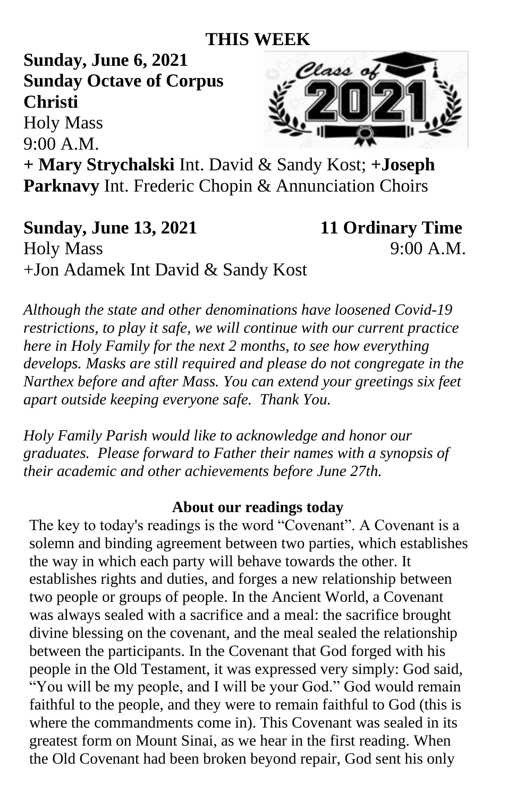# **THIS WEEK**

**Sunday, June 6, 2021 Sunday Octave of Corpus Christi** 

Holy Mass

9:00 A.M.



**+ Mary Strychalski** Int. David & Sandy Kost; **+Joseph Parknavy** Int. Frederic Chopin & Annunciation Choirs

**Sunday, June 13, 2021** 11 Ordinary Time Holy Mass 9:00 A.M. +Jon Adamek Int David & Sandy Kost

*Although the state and other denominations have loosened Covid-19 restrictions, to play it safe, we will continue with our current practice here in Holy Family for the next 2 months, to see how everything develops. Masks are still required and please do not congregate in the Narthex before and after Mass. You can extend your greetings six feet apart outside keeping everyone safe. Thank You.*

*Holy Family Parish would like to acknowledge and honor our graduates. Please forward to Father their names with a synopsis of their academic and other achievements before June 27th.*

#### **About our readings today**

The key to today's readings is the word "Covenant". A Covenant is a solemn and binding agreement between two parties, which establishes the way in which each party will behave towards the other. It establishes rights and duties, and forges a new relationship between two people or groups of people. In the Ancient World, a Covenant was always sealed with a sacrifice and a meal: the sacrifice brought divine blessing on the covenant, and the meal sealed the relationship between the participants. In the Covenant that God forged with his people in the Old Testament, it was expressed very simply: God said, "You will be my people, and I will be your God." God would remain faithful to the people, and they were to remain faithful to God (this is where the commandments come in). This Covenant was sealed in its greatest form on Mount Sinai, as we hear in the first reading. When the Old Covenant had been broken beyond repair, God sent his only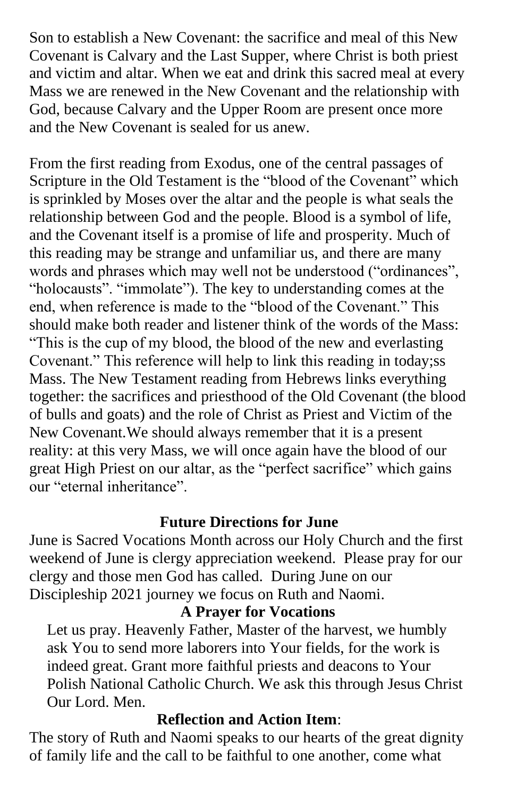Son to establish a New Covenant: the sacrifice and meal of this New Covenant is Calvary and the Last Supper, where Christ is both priest and victim and altar. When we eat and drink this sacred meal at every Mass we are renewed in the New Covenant and the relationship with God, because Calvary and the Upper Room are present once more and the New Covenant is sealed for us anew.

From the first reading from Exodus, one of the central passages of Scripture in the Old Testament is the "blood of the Covenant" which is sprinkled by Moses over the altar and the people is what seals the relationship between God and the people. Blood is a symbol of life, and the Covenant itself is a promise of life and prosperity. Much of this reading may be strange and unfamiliar us, and there are many words and phrases which may well not be understood ("ordinances", "holocausts". "immolate"). The key to understanding comes at the end, when reference is made to the "blood of the Covenant." This should make both reader and listener think of the words of the Mass: "This is the cup of my blood, the blood of the new and everlasting Covenant." This reference will help to link this reading in today;ss Mass. The New Testament reading from Hebrews links everything together: the sacrifices and priesthood of the Old Covenant (the blood of bulls and goats) and the role of Christ as Priest and Victim of the New Covenant.We should always remember that it is a present reality: at this very Mass, we will once again have the blood of our great High Priest on our altar, as the "perfect sacrifice" which gains our "eternal inheritance".

### **Future Directions for June**

June is Sacred Vocations Month across our Holy Church and the first weekend of June is clergy appreciation weekend. Please pray for our clergy and those men God has called. During June on our Discipleship 2021 journey we focus on Ruth and Naomi.

## **A Prayer for Vocations**

Let us pray. Heavenly Father, Master of the harvest, we humbly ask You to send more laborers into Your fields, for the work is indeed great. Grant more faithful priests and deacons to Your Polish National Catholic Church. We ask this through Jesus Christ Our Lord. Men.

#### **Reflection and Action Item**:

The story of Ruth and Naomi speaks to our hearts of the great dignity of family life and the call to be faithful to one another, come what